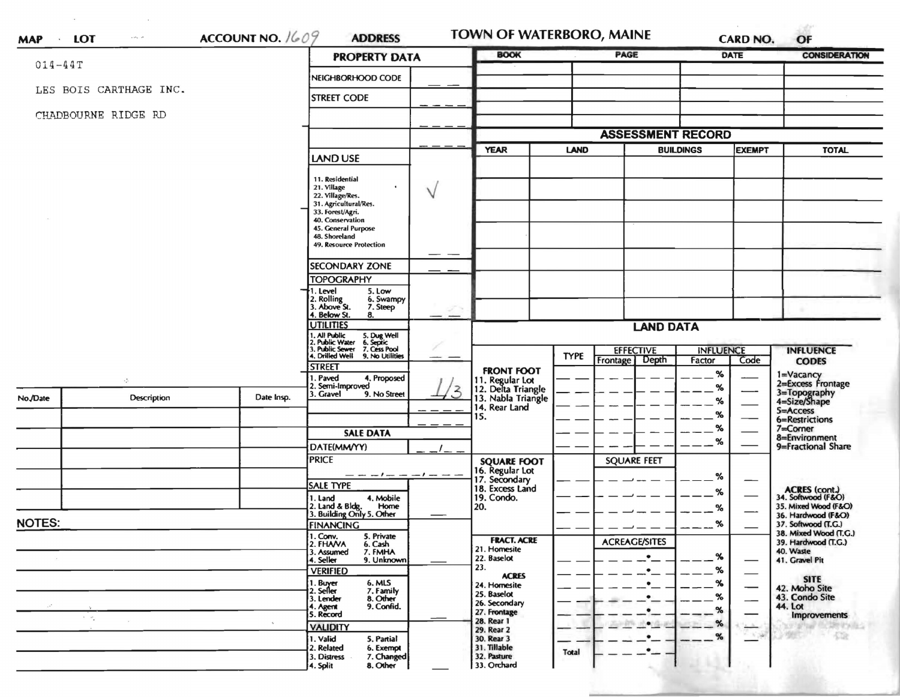| $014 - 44T$         |                                       |                                                                              | <b>PROPERTY DATA</b>                                         | <b>BOOK</b>                                                 |              |                          |                  | DATE          | <b>CONSIDERATION</b>                         |  |
|---------------------|---------------------------------------|------------------------------------------------------------------------------|--------------------------------------------------------------|-------------------------------------------------------------|--------------|--------------------------|------------------|---------------|----------------------------------------------|--|
|                     |                                       |                                                                              | NEIGHBORHOOD CODE                                            |                                                             |              |                          |                  |               |                                              |  |
|                     | LES BOIS CARTHAGE INC.                |                                                                              | <b>STREET CODE</b>                                           |                                                             |              |                          |                  |               |                                              |  |
| CHADBOURNE RIDGE RD |                                       |                                                                              |                                                              |                                                             |              |                          |                  |               |                                              |  |
|                     |                                       |                                                                              |                                                              |                                                             |              | <b>ASSESSMENT RECORD</b> |                  |               |                                              |  |
|                     |                                       |                                                                              |                                                              | <b>YEAR</b>                                                 | <b>LAND</b>  | <b>BUILDINGS</b>         |                  | <b>EXEMPT</b> | <b>TOTAL</b>                                 |  |
|                     |                                       |                                                                              | <b>LAND USE</b>                                              |                                                             |              |                          |                  |               |                                              |  |
|                     |                                       |                                                                              | 11. Residential                                              |                                                             |              |                          |                  |               |                                              |  |
|                     |                                       |                                                                              | 21. Village<br>ν<br>22. Village/Res.                         |                                                             |              |                          |                  |               |                                              |  |
|                     |                                       |                                                                              | 31. Agricultural/Res.<br>33. Forest/Agri.                    |                                                             |              |                          |                  |               |                                              |  |
|                     |                                       |                                                                              | 40. Conservation                                             |                                                             |              |                          |                  |               |                                              |  |
|                     |                                       |                                                                              | 45. General Purpose<br>48. Shoreland                         |                                                             |              |                          |                  |               |                                              |  |
|                     |                                       |                                                                              | <b>49. Resource Protection</b>                               |                                                             |              |                          |                  |               |                                              |  |
|                     |                                       |                                                                              | $\overline{\phantom{a}}$<br><b>SECONDARY ZONE</b>            |                                                             |              |                          |                  |               |                                              |  |
|                     |                                       |                                                                              | <b>TOPOGRAPHY</b>                                            |                                                             |              |                          |                  |               |                                              |  |
|                     |                                       |                                                                              | 1. Level<br>5. Low<br>6. Swampy                              |                                                             |              |                          |                  |               |                                              |  |
|                     |                                       |                                                                              | 2. Rolling<br>3. Above St.<br>7. Steep<br>4. Below St.<br>8. |                                                             |              |                          |                  |               |                                              |  |
|                     |                                       | <b>UTILITIES</b>                                                             |                                                              | <b>LAND DATA</b>                                            |              |                          |                  |               |                                              |  |
|                     |                                       | 1. All Public<br>2. Public Water<br>5. Dug Well<br>6. Septic<br>7. Cess Pool |                                                              |                                                             |              |                          |                  |               |                                              |  |
|                     |                                       |                                                                              | 3. Public Sewer<br>4. Drilled Well<br>9. No Utilities        |                                                             | <b>TYPE</b>  | <b>EFFECTIVE</b>         | <b>INFLUENCE</b> |               | <b>INFLUENCE</b>                             |  |
|                     |                                       |                                                                              | <b>STREET</b>                                                |                                                             |              | Frontage Depth           | Factor           | Code          | <b>CODES</b>                                 |  |
|                     | ÷                                     |                                                                              | . Paved<br>4. Proposed                                       | <b>FRONT FOOT</b>                                           |              |                          | %                |               | 1=Vacancy<br>2=Excess Frontage               |  |
|                     |                                       |                                                                              | 2. Semi-Improved<br>. Gravel<br>9. No Street                 | 11. Regular Lot<br>12. Delta Triangle<br>13. Nabla Triangle |              |                          | %                |               |                                              |  |
| No./Date            | Description                           | Date Insp.                                                                   |                                                              | 14. Rear Land                                               |              |                          | %                |               | 3=Topography<br>4=Size/Shape                 |  |
|                     |                                       |                                                                              |                                                              | 15.                                                         |              |                          | %                |               | 5=Access<br>6=Restrictions                   |  |
|                     |                                       |                                                                              | <b>SALE DATA</b>                                             |                                                             |              |                          | %                |               | $7 =$ Corner                                 |  |
|                     |                                       |                                                                              | DATE(MM/YY)                                                  |                                                             |              |                          | %                |               | 8=Environment<br>9=Fractional Share          |  |
|                     |                                       |                                                                              | <b>PRICE</b>                                                 |                                                             |              | <b>SQUARE FEET</b>       |                  |               |                                              |  |
|                     |                                       |                                                                              |                                                              | <b>SQUARE FOOT</b><br>16. Regular Lot                       |              |                          |                  |               |                                              |  |
|                     |                                       |                                                                              | <b>SALE TYPE</b>                                             | 17. Secondary<br>18. Excess Land                            |              |                          | %                | —             |                                              |  |
|                     |                                       |                                                                              | 4. Mobile<br>1. Land                                         | 19. Condo.                                                  |              |                          | %                |               | ACRES (cont.)<br>34. Softwood (F&O)          |  |
|                     |                                       |                                                                              | 2. Land & Bldg. Home<br>3. Building Only 5. Other<br>Home    | 20.                                                         |              |                          | %                |               | 35. Mixed Wood (F&O)<br>36. Hardwood (F&O)   |  |
| <b>NOTES:</b>       |                                       |                                                                              | <b>FINANCING</b>                                             |                                                             |              |                          | 70               |               | 37. Softwood (1.G.)                          |  |
|                     |                                       |                                                                              | 1. Conv.<br>5. Private<br>2. FHANA<br>6. Cash                | <b>FRACT. ACRE</b>                                          |              | <b>ACREAGE/SITES</b>     |                  |               | 38. Mixed Wood (T.G.)<br>39. Hardwood (T.G.) |  |
|                     |                                       |                                                                              | 7. FMHA<br>3. Assumed                                        | 21. Homesite<br>22. Baselot                                 |              |                          | %                |               | 40. Waste                                    |  |
|                     |                                       |                                                                              | 4. Seller<br>9. Unknown<br><b>VERIFIED</b>                   | 23.                                                         |              |                          | %                |               | 41. Gravel Pit                               |  |
|                     |                                       |                                                                              | 6. MLS<br>1. Buyer                                           | <b>ACRES</b>                                                |              |                          | %                |               | <b>SITE</b>                                  |  |
|                     |                                       |                                                                              | 2. Seller<br>7. Family                                       | 24. Homesite<br>25. Baselot                                 |              |                          | %                |               | 42. Moho Site<br>43. Condo Site              |  |
|                     |                                       |                                                                              | 8. Other<br>3. Lender<br>9. Confid.<br>4. Agent<br>5. Record | 26. Secondary                                               |              |                          | $\%$             |               | 44. Lot                                      |  |
|                     | $\mathcal{F}=\mathcal{F}_{\bullet}$ . |                                                                              |                                                              | 27. Frontage<br>28. Rear 1                                  |              |                          | $\%$             |               | <b>Improvements</b>                          |  |
|                     |                                       |                                                                              | <b>VALIDITY</b>                                              | 29. Rear 2                                                  |              |                          | $\%$             | - 175         | $-522$                                       |  |
|                     |                                       |                                                                              | 1. Valid<br>5. Partial<br>2. Related<br>6. Exempt            | 30. Rear 3<br>31. Tillable                                  |              |                          |                  |               |                                              |  |
|                     |                                       |                                                                              | 7. Changed<br>3. Distress                                    | 32. Pasture                                                 | <b>Total</b> | ٠                        |                  |               |                                              |  |